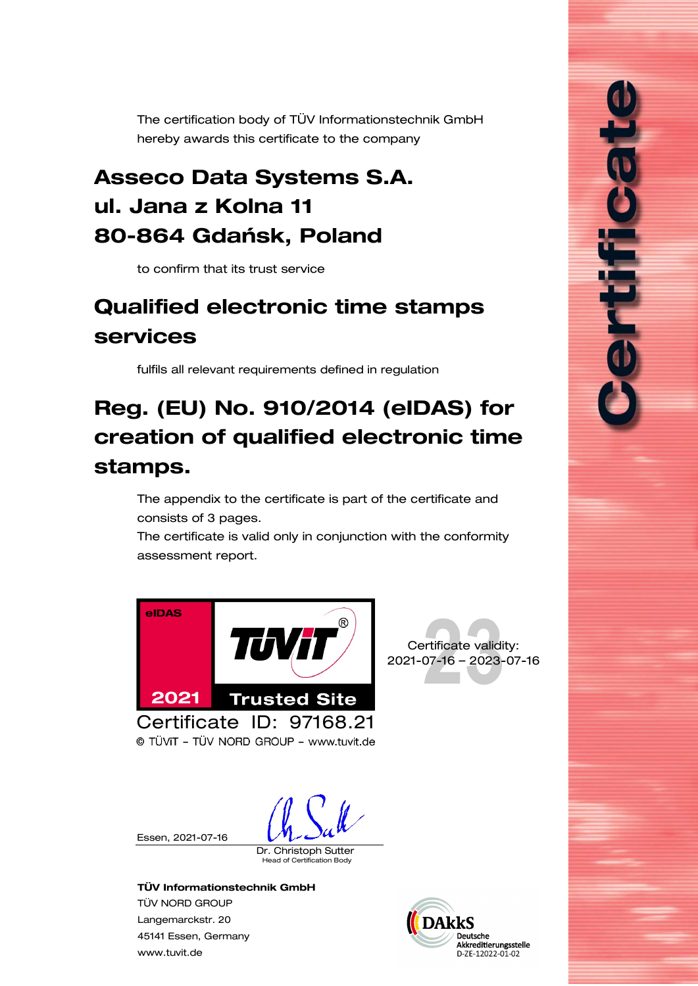<span id="page-0-0"></span>The certification body of TÜV Informationstechnik GmbH hereby awards this certificate to the company

## Asseco Data Systems S.A. ul. Jana z Kolna 11 80-864 Gdańsk, Poland

to confirm that its trust service

# <span id="page-0-1"></span>Qualified electronic time stamps services

fulfils all relevant requirements defined in regulation

# Reg. (EU) No. 910/2014 (eIDAS) for creation of qualified electronic time stamps.

The appendix to the certificate is part of the certificate and consists of [3](#page-1-0) pages.

The certificate is valid only in conjunction with the conformity assessment report.





i<br>Li

© TÜVIT - TÜV NORD GROUP - www.tuvit.de

Essen, [2021-07-16](#page-0-0)

Dr. Christoph Sutter

ad of Certification Body

#### TÜV Informationstechnik GmbH

TÜV NORD GROUP Langemarckstr. 20 45141 Essen, Germany [www.tuvit.de](http://www.tuvit.de/)

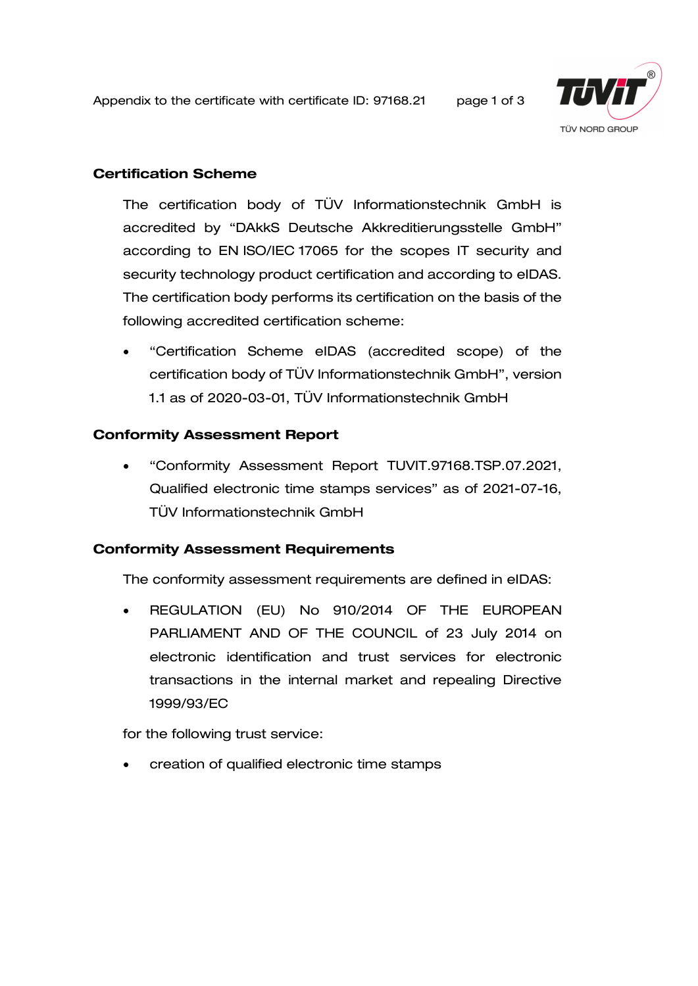<span id="page-1-0"></span>Appendix to the certificate with certificate ID: [97168.21](#page-0-0) page 1 of 3



#### Certification Scheme

The certification body of TÜV Informationstechnik GmbH is accredited by "DAkkS Deutsche Akkreditierungsstelle GmbH" according to EN ISO/IEC 17065 for the scopes IT security and security technology product certification and according to eIDAS. The certification body performs its certification on the basis of the following accredited certification scheme:

• "Certification Scheme eIDAS (accredited scope) of the certification body of TÜV Informationstechnik GmbH", version 1.1 as of 2020-03-01, TÜV Informationstechnik GmbH

#### Conformity Assessment Report

• "Conformity Assessment Report TUVIT[.97168.](#page-0-0)TSP.07.2021, [Qualified electronic time stamps services"](#page-0-1) as of 2021-07-16, TÜV Informationstechnik GmbH

#### Conformity Assessment Requirements

The conformity assessment requirements are defined in eIDAS:

• REGULATION (EU) No 910/2014 OF THE EUROPEAN PARLIAMENT AND OF THE COUNCIL of 23 July 2014 on electronic identification and trust services for electronic transactions in the internal market and repealing Directive 1999/93/EC

for the following trust service:

• creation of qualified electronic time stamps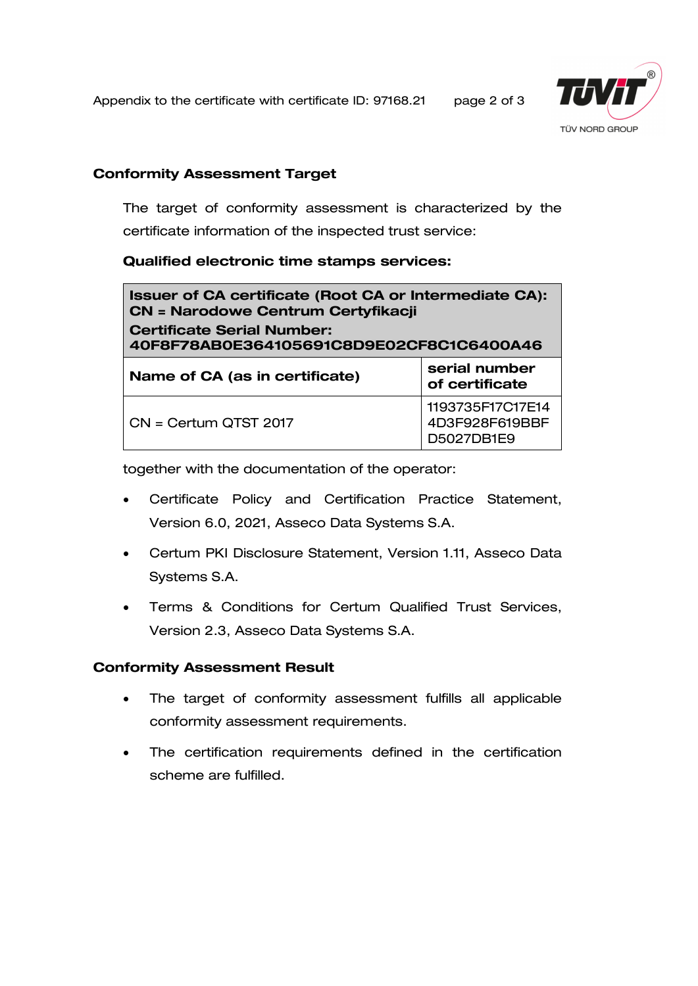Appendix to the certificate with certificate ID: [97168.21](#page-0-0) page 2 of 3



#### Conformity Assessment Target

The target of conformity assessment is characterized by the certificate information of the inspected trust service:

#### [Qualified electronic time stamps services:](#page-0-1)

| <b>Issuer of CA certificate (Root CA or Intermediate CA):</b><br><b>CN = Narodowe Centrum Certyfikacji</b><br><b>Certificate Serial Number:</b><br>40F8F78AB0E364105691C8D9E02CF8C1C6400A46 |                                                  |
|---------------------------------------------------------------------------------------------------------------------------------------------------------------------------------------------|--------------------------------------------------|
| Name of CA (as in certificate)                                                                                                                                                              | serial number<br>of certificate                  |
| CN = Certum QTST 2017                                                                                                                                                                       | 1193735F17C17E14<br>4D3F928F619BBF<br>D5027DB1E9 |

together with the documentation of the operator:

- Certificate Policy and Certification Practice Statement, Version 6.0, 2021, Asseco Data Systems S.A.
- Certum PKI Disclosure Statement, Version 1.11, Asseco Data Systems S.A.
- Terms & Conditions for Certum Qualified Trust Services, Version 2.3, Asseco Data Systems S.A.

#### Conformity Assessment Result

- The target of conformity assessment fulfills all applicable conformity assessment requirements.
- The certification requirements defined in the certification scheme are fulfilled.